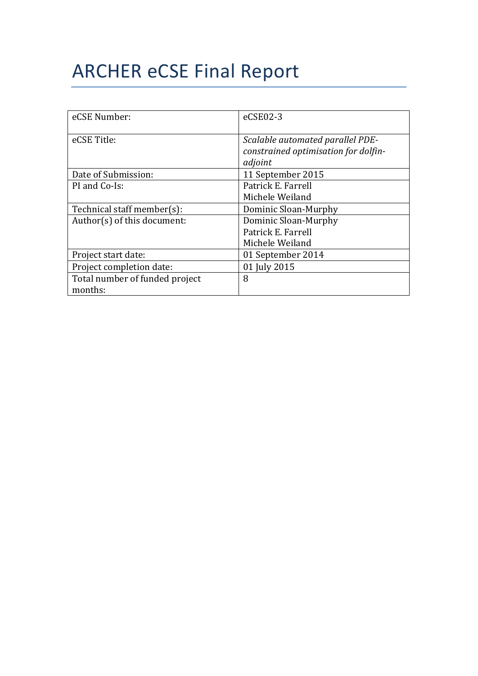# **ARCHER eCSE Final Report**

| eCSE Number:                   | eCSE02-3                                                                            |
|--------------------------------|-------------------------------------------------------------------------------------|
| eCSE Title:                    | Scalable automated parallel PDE-<br>constrained optimisation for dolfin-<br>adjoint |
| Date of Submission:            | 11 September 2015                                                                   |
| PI and Co-Is:                  | Patrick E. Farrell                                                                  |
|                                | Michele Weiland                                                                     |
| Technical staff member(s):     | Dominic Sloan-Murphy                                                                |
| Author(s) of this document:    | Dominic Sloan-Murphy                                                                |
|                                | Patrick E. Farrell                                                                  |
|                                | Michele Weiland                                                                     |
| Project start date:            | 01 September 2014                                                                   |
| Project completion date:       | 01 July 2015                                                                        |
| Total number of funded project | 8                                                                                   |
| months:                        |                                                                                     |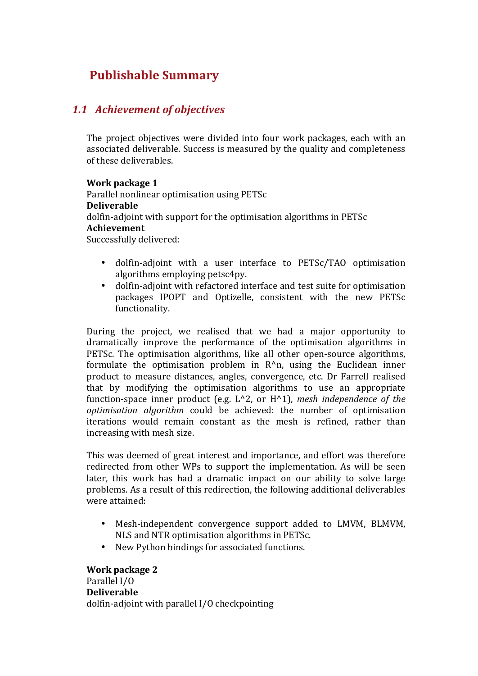## **Publishable Summary**

#### *1.1 Achievement of objectives*

The project objectives were divided into four work packages, each with an associated deliverable. Success is measured by the quality and completeness of these deliverables.

**Work package 1** Parallel nonlinear optimisation using PETSc **Deliverable** dolfin-adjoint with support for the optimisation algorithms in PETSc **Achievement** Successfully delivered:

- dolfin-adjoint with a user interface to PETSc/TAO optimisation algorithms employing petsc4py.
- dolfin-adjoint with refactored interface and test suite for optimisation packages IPOPT and Optizelle, consistent with the new PETSc functionality.

During the project, we realised that we had a major opportunity to dramatically improve the performance of the optimisation algorithms in PETSc. The optimisation algorithms, like all other open-source algorithms, formulate the optimisation problem in  $R^n$ n, using the Euclidean inner product to measure distances, angles, convergence, etc. Dr Farrell realised that by modifying the optimisation algorithms to use an appropriate function-space inner product (e.g.  $L^2$ , or  $H^2$ ), *mesh independence of the optimisation algorithm* could be achieved: the number of optimisation iterations would remain constant as the mesh is refined, rather than increasing with mesh size.

This was deemed of great interest and importance, and effort was therefore redirected from other WPs to support the implementation. As will be seen later, this work has had a dramatic impact on our ability to solve large problems. As a result of this redirection, the following additional deliverables were attained:

- Mesh-independent convergence support added to LMVM, BLMVM, NLS and NTR optimisation algorithms in PETSc.
- New Python bindings for associated functions.

**Work package 2** Parallel I/O **Deliverable** dolfin-adjoint with parallel I/O checkpointing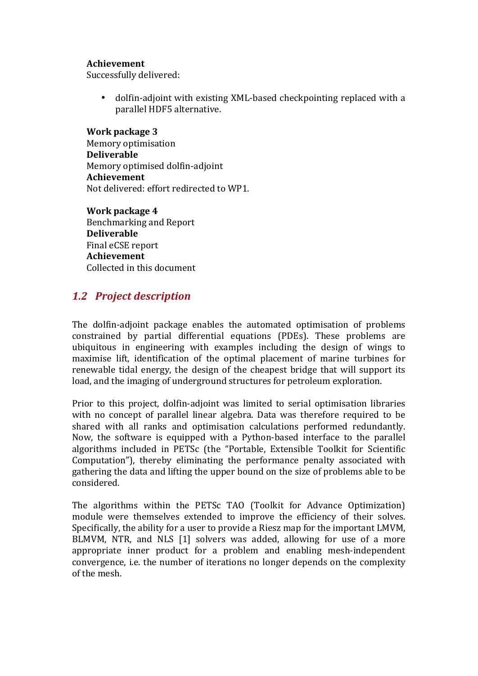#### **Achievement**

Successfully delivered:

dolfin-adjoint with existing XML-based checkpointing replaced with a parallel HDF5 alternative.

**Work package 3** Memory optimisation **Deliverable** Memory optimised dolfin-adjoint **Achievement** Not delivered: effort redirected to WP1.

**Work package 4** Benchmarking and Report **Deliverable** Final eCSE report **Achievement** Collected in this document

#### *1.2 Project description*

The dolfin-adjoint package enables the automated optimisation of problems constrained by partial differential equations (PDEs). These problems are ubiquitous in engineering with examples including the design of wings to maximise lift, identification of the optimal placement of marine turbines for renewable tidal energy, the design of the cheapest bridge that will support its load, and the imaging of underground structures for petroleum exploration.

Prior to this project, dolfin-adjoint was limited to serial optimisation libraries with no concept of parallel linear algebra. Data was therefore required to be shared with all ranks and optimisation calculations performed redundantly. Now, the software is equipped with a Python-based interface to the parallel algorithms included in PETSc (the "Portable, Extensible Toolkit for Scientific Computation"), thereby eliminating the performance penalty associated with gathering the data and lifting the upper bound on the size of problems able to be considered.

The algorithms within the PETSc TAO (Toolkit for Advance Optimization) module were themselves extended to improve the efficiency of their solves. Specifically, the ability for a user to provide a Riesz map for the important LMVM, BLMVM, NTR, and NLS [1] solvers was added, allowing for use of a more appropriate inner product for a problem and enabling mesh-independent convergence, i.e. the number of iterations no longer depends on the complexity of the mesh.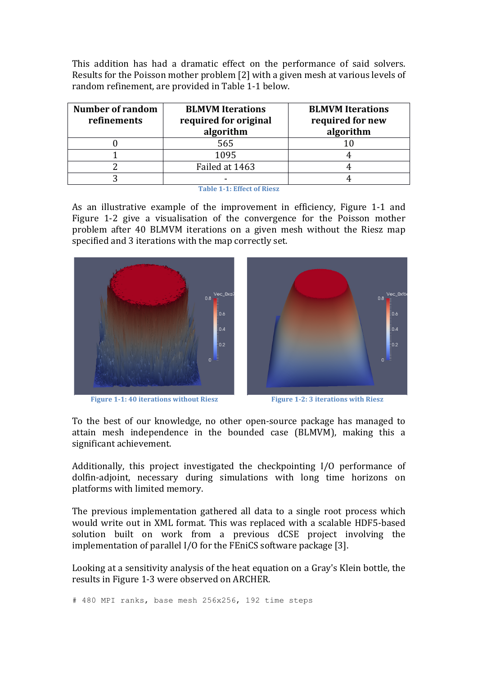This addition has had a dramatic effect on the performance of said solvers. Results for the Poisson mother problem [2] with a given mesh at various levels of random refinement, are provided in Table 1-1 below.

| <b>Number of random</b><br>refinements | <b>BLMVM</b> Iterations<br>required for original<br>algorithm | <b>BLMVM</b> Iterations<br>required for new<br>algorithm |
|----------------------------------------|---------------------------------------------------------------|----------------------------------------------------------|
|                                        | 565                                                           |                                                          |
|                                        | 1095                                                          |                                                          |
|                                        | Failed at 1463                                                |                                                          |
|                                        |                                                               |                                                          |

**Table 1-1: Effect of Riesz**

As an illustrative example of the improvement in efficiency, Figure 1-1 and Figure 1-2 give a visualisation of the convergence for the Poisson mother problem after 40 BLMVM iterations on a given mesh without the Riesz map specified and 3 iterations with the map correctly set.



**Figure 1-1:** 40 iterations without Riesz **Figure 1-2:** 3 iterations with Riesz



To the best of our knowledge, no other open-source package has managed to attain mesh independence in the bounded case (BLMVM), making this a significant achievement.

Additionally, this project investigated the checkpointing  $I/O$  performance of dolfin-adjoint, necessary during simulations with long time horizons on platforms with limited memory.

The previous implementation gathered all data to a single root process which would write out in XML format. This was replaced with a scalable HDF5-based solution built on work from a previous dCSE project involving the implementation of parallel  $I/O$  for the FEniCS software package [3].

Looking at a sensitivity analysis of the heat equation on a Gray's Klein bottle, the results in Figure 1-3 were observed on ARCHER.

# 480 MPI ranks, base mesh 256x256, 192 time steps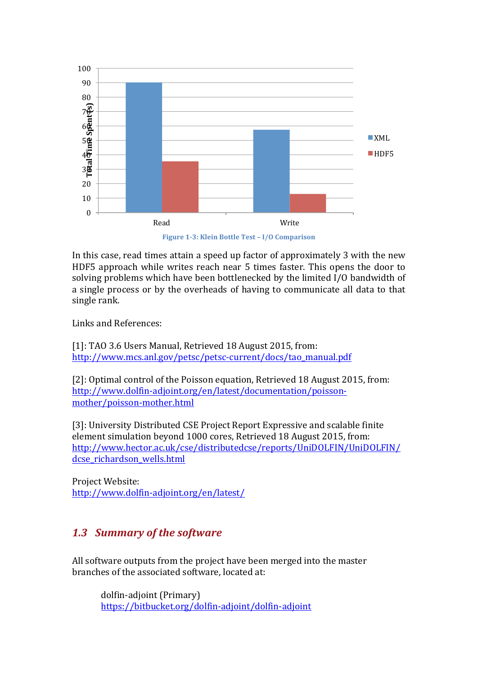

Figure 1-3: Klein Bottle Test - I/O Comparison

In this case, read times attain a speed up factor of approximately 3 with the new HDF5 approach while writes reach near 5 times faster. This opens the door to solving problems which have been bottlenecked by the limited I/O bandwidth of a single process or by the overheads of having to communicate all data to that single rank.

Links and References:

[1]: TAO 3.6 Users Manual, Retrieved 18 August 2015, from: http://www.mcs.anl.gov/petsc/petsc-current/docs/tao\_manual.pdf

[2]: Optimal control of the Poisson equation, Retrieved 18 August 2015, from: http://www.dolfin-adjoint.org/en/latest/documentation/poissonmother/poisson-mother.html

[3]: University Distributed CSE Project Report Expressive and scalable finite element simulation beyond 1000 cores, Retrieved 18 August 2015, from: http://www.hector.ac.uk/cse/distributedcse/reports/UniDOLFIN/UniDOLFIN/ dcse richardson wells.html

Project Website: http://www.dolfin-adjoint.org/en/latest/

## **1.3 Summary of the software**

All software outputs from the project have been merged into the master branches of the associated software, located at:

dolfin-adjoint (Primary) https://bitbucket.org/dolfin-adjoint/dolfin-adjoint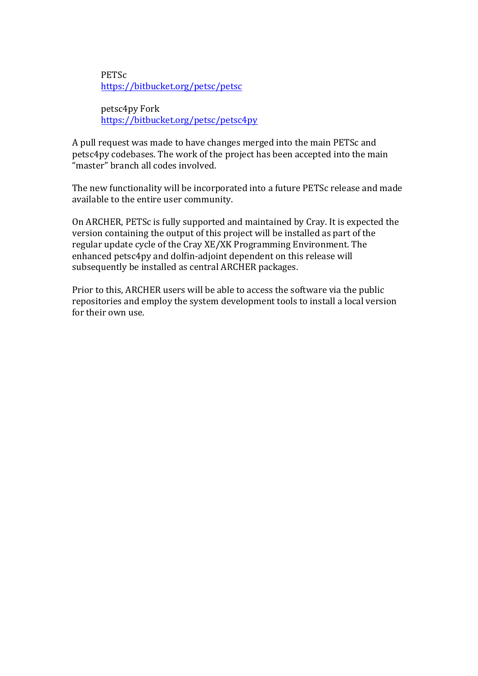**PETSc** https://bitbucket.org/petsc/petsc

petsc4py Fork https://bitbucket.org/petsc/petsc4py

A pull request was made to have changes merged into the main PETSc and petsc4py codebases. The work of the project has been accepted into the main "master" branch all codes involved.

The new functionality will be incorporated into a future PETSc release and made available to the entire user community.

On ARCHER, PETSc is fully supported and maintained by Cray. It is expected the version containing the output of this project will be installed as part of the regular update cycle of the Cray XE/XK Programming Environment. The enhanced petsc4py and dolfin-adjoint dependent on this release will subsequently be installed as central ARCHER packages.

Prior to this, ARCHER users will be able to access the software via the public repositories and employ the system development tools to install a local version for their own use.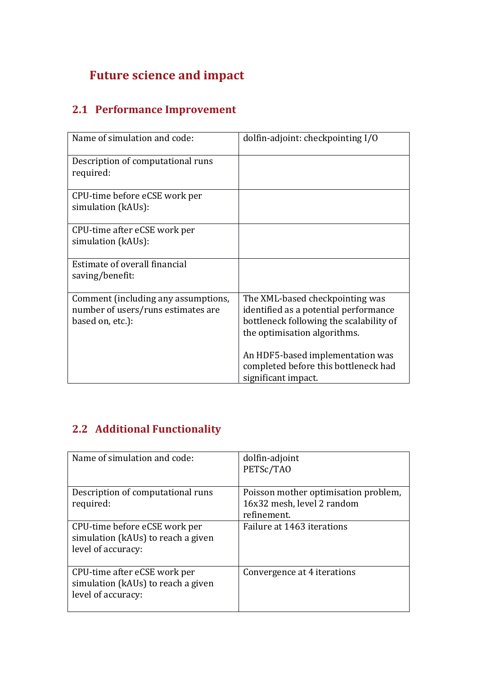# **Future science and impact**

## **2.1 Performance Improvement**

| Name of simulation and code:                                                                  | dolfin-adjoint: checkpointing I/O                                                                                                                   |
|-----------------------------------------------------------------------------------------------|-----------------------------------------------------------------------------------------------------------------------------------------------------|
| Description of computational runs<br>required:                                                |                                                                                                                                                     |
| CPU-time before eCSE work per<br>simulation (kAUs):                                           |                                                                                                                                                     |
| CPU-time after eCSE work per<br>simulation (kAUs):                                            |                                                                                                                                                     |
| Estimate of overall financial<br>saving/benefit:                                              |                                                                                                                                                     |
| Comment (including any assumptions,<br>number of users/runs estimates are<br>based on, etc.): | The XML-based checkpointing was<br>identified as a potential performance<br>bottleneck following the scalability of<br>the optimisation algorithms. |
|                                                                                               | An HDF5-based implementation was<br>completed before this bottleneck had<br>significant impact.                                                     |

## **2.2 Additional Functionality**

| Name of simulation and code:                                                              | dolfin-adjoint<br>PETSc/TAO                                                       |
|-------------------------------------------------------------------------------------------|-----------------------------------------------------------------------------------|
| Description of computational runs<br>required:                                            | Poisson mother optimisation problem,<br>16x32 mesh, level 2 random<br>refinement. |
| CPU-time before eCSE work per<br>simulation (kAUs) to reach a given<br>level of accuracy: | Failure at 1463 iterations                                                        |
| CPU-time after eCSE work per<br>simulation (kAUs) to reach a given<br>level of accuracy:  | Convergence at 4 iterations                                                       |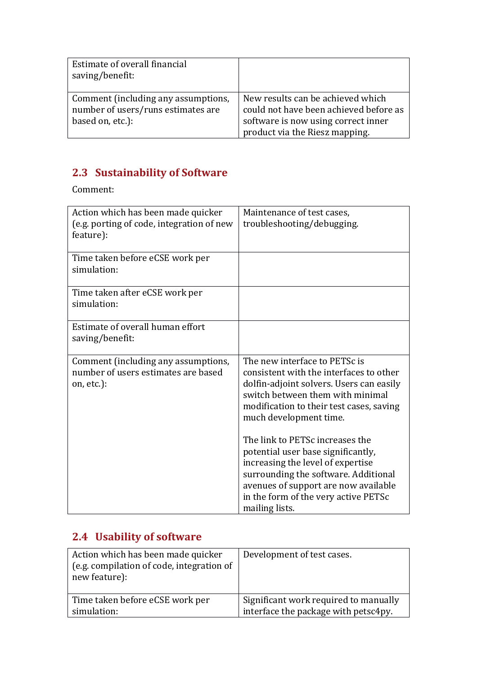| Estimate of overall financial<br>saving/benefit:                                              |                                                                                                                                                      |
|-----------------------------------------------------------------------------------------------|------------------------------------------------------------------------------------------------------------------------------------------------------|
| Comment (including any assumptions,<br>number of users/runs estimates are<br>based on, etc.): | New results can be achieved which<br>could not have been achieved before as<br>software is now using correct inner<br>product via the Riesz mapping. |

# **2.3 Sustainability of Software**

Comment:

| Action which has been made quicker<br>(e.g. porting of code, integration of new<br>feature): | Maintenance of test cases,<br>troubleshooting/debugging.                                                                                                                                                                                                                                                                                                                                                                                                                               |
|----------------------------------------------------------------------------------------------|----------------------------------------------------------------------------------------------------------------------------------------------------------------------------------------------------------------------------------------------------------------------------------------------------------------------------------------------------------------------------------------------------------------------------------------------------------------------------------------|
| Time taken before eCSE work per<br>simulation:                                               |                                                                                                                                                                                                                                                                                                                                                                                                                                                                                        |
| Time taken after eCSE work per<br>simulation:                                                |                                                                                                                                                                                                                                                                                                                                                                                                                                                                                        |
| Estimate of overall human effort<br>saving/benefit:                                          |                                                                                                                                                                                                                                                                                                                                                                                                                                                                                        |
| Comment (including any assumptions,<br>number of users estimates are based<br>on, etc.):     | The new interface to PETSc is<br>consistent with the interfaces to other<br>dolfin-adjoint solvers. Users can easily<br>switch between them with minimal<br>modification to their test cases, saving<br>much development time.<br>The link to PETSc increases the<br>potential user base significantly,<br>increasing the level of expertise<br>surrounding the software. Additional<br>avenues of support are now available<br>in the form of the very active PETSc<br>mailing lists. |

# **2.4 Usability** of software

| Action which has been made quicker        | Development of test cases.            |
|-------------------------------------------|---------------------------------------|
| (e.g. compilation of code, integration of |                                       |
| new feature):                             |                                       |
|                                           |                                       |
| Time taken before eCSE work per           | Significant work required to manually |
| simulation:                               | interface the package with petsc4py.  |